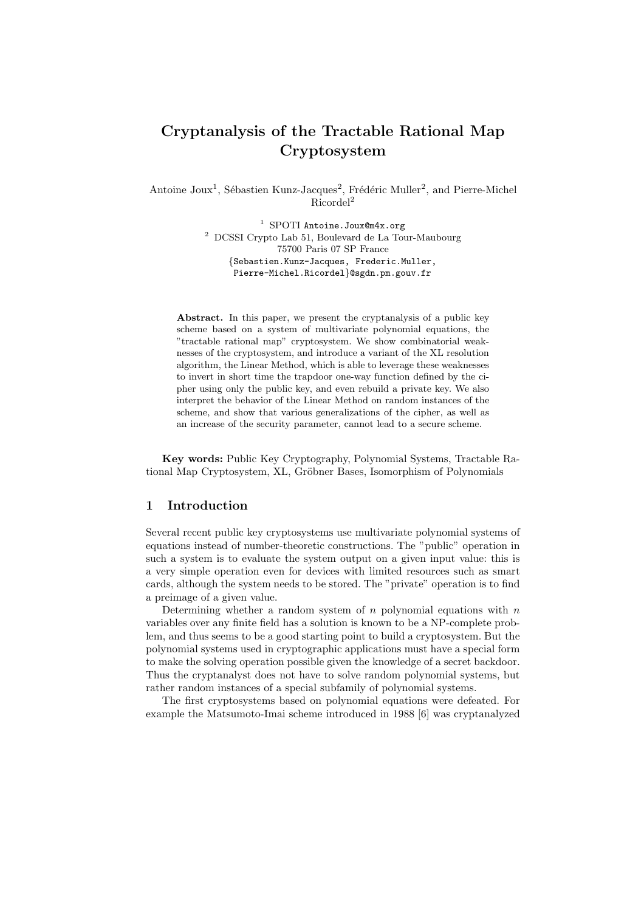# Cryptanalysis of the Tractable Rational Map Cryptosystem

Antoine Joux<sup>1</sup>, Sébastien Kunz-Jacques<sup>2</sup>, Frédéric Muller<sup>2</sup>, and Pierre-Michel Ricordel<sup>2</sup>

> <sup>1</sup> SPOTI Antoine.Joux@m4x.org  $^{\rm 2}$  DCSSI Crypto Lab 51, Boulevard de La Tour-Maubourg 75700 Paris 07 SP France {Sebastien.Kunz-Jacques, Frederic.Muller, Pierre-Michel.Ricordel}@sgdn.pm.gouv.fr

Abstract. In this paper, we present the cryptanalysis of a public key scheme based on a system of multivariate polynomial equations, the "tractable rational map" cryptosystem. We show combinatorial weaknesses of the cryptosystem, and introduce a variant of the XL resolution algorithm, the Linear Method, which is able to leverage these weaknesses to invert in short time the trapdoor one-way function defined by the cipher using only the public key, and even rebuild a private key. We also interpret the behavior of the Linear Method on random instances of the scheme, and show that various generalizations of the cipher, as well as an increase of the security parameter, cannot lead to a secure scheme.

Key words: Public Key Cryptography, Polynomial Systems, Tractable Rational Map Cryptosystem, XL, Gröbner Bases, Isomorphism of Polynomials

## 1 Introduction

Several recent public key cryptosystems use multivariate polynomial systems of equations instead of number-theoretic constructions. The "public" operation in such a system is to evaluate the system output on a given input value: this is a very simple operation even for devices with limited resources such as smart cards, although the system needs to be stored. The "private" operation is to find a preimage of a given value.

Determining whether a random system of  $n$  polynomial equations with  $n$ variables over any finite field has a solution is known to be a NP-complete problem, and thus seems to be a good starting point to build a cryptosystem. But the polynomial systems used in cryptographic applications must have a special form to make the solving operation possible given the knowledge of a secret backdoor. Thus the cryptanalyst does not have to solve random polynomial systems, but rather random instances of a special subfamily of polynomial systems.

The first cryptosystems based on polynomial equations were defeated. For example the Matsumoto-Imai scheme introduced in 1988 [6] was cryptanalyzed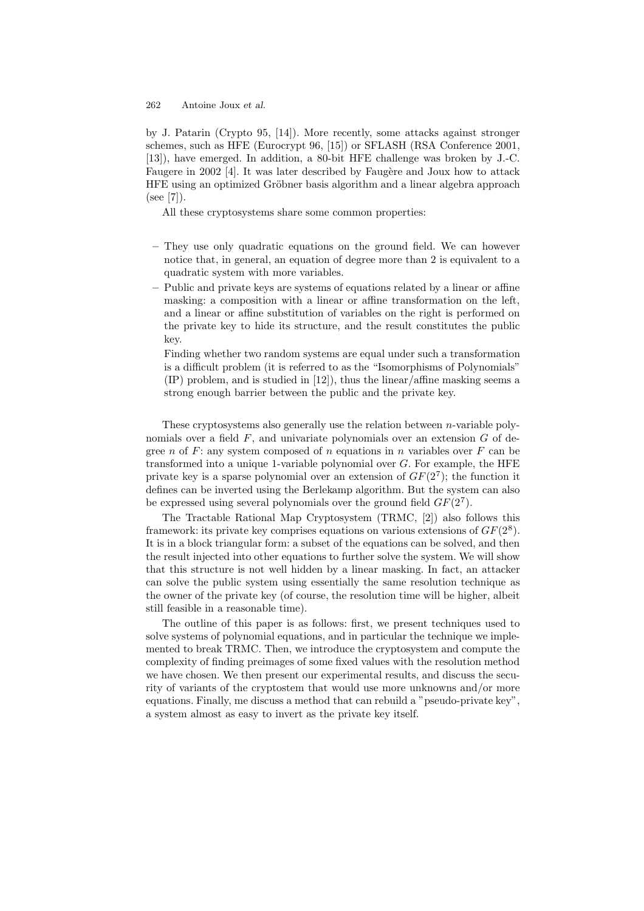by J. Patarin (Crypto 95, [14]). More recently, some attacks against stronger schemes, such as HFE (Eurocrypt 96, [15]) or SFLASH (RSA Conference 2001, [13]), have emerged. In addition, a 80-bit HFE challenge was broken by J.-C. Faugere in 2002 [4]. It was later described by Faugère and Joux how to attack HFE using an optimized Gröbner basis algorithm and a linear algebra approach (see [7]).

All these cryptosystems share some common properties:

- They use only quadratic equations on the ground field. We can however notice that, in general, an equation of degree more than 2 is equivalent to a quadratic system with more variables.
- Public and private keys are systems of equations related by a linear or affine masking: a composition with a linear or affine transformation on the left, and a linear or affine substitution of variables on the right is performed on the private key to hide its structure, and the result constitutes the public key.

Finding whether two random systems are equal under such a transformation is a difficult problem (it is referred to as the "Isomorphisms of Polynomials" (IP) problem, and is studied in [12]), thus the linear/affine masking seems a strong enough barrier between the public and the private key.

These cryptosystems also generally use the relation between n-variable polynomials over a field  $F$ , and univariate polynomials over an extension  $G$  of degree n of F: any system composed of n equations in n variables over F can be transformed into a unique 1-variable polynomial over  $G$ . For example, the HFE private key is a sparse polynomial over an extension of  $GF(2^7)$ ; the function it defines can be inverted using the Berlekamp algorithm. But the system can also be expressed using several polynomials over the ground field  $GF(2<sup>7</sup>)$ .

The Tractable Rational Map Cryptosystem (TRMC, [2]) also follows this framework: its private key comprises equations on various extensions of  $GF(2<sup>8</sup>)$ . It is in a block triangular form: a subset of the equations can be solved, and then the result injected into other equations to further solve the system. We will show that this structure is not well hidden by a linear masking. In fact, an attacker can solve the public system using essentially the same resolution technique as the owner of the private key (of course, the resolution time will be higher, albeit still feasible in a reasonable time).

The outline of this paper is as follows: first, we present techniques used to solve systems of polynomial equations, and in particular the technique we implemented to break TRMC. Then, we introduce the cryptosystem and compute the complexity of finding preimages of some fixed values with the resolution method we have chosen. We then present our experimental results, and discuss the security of variants of the cryptostem that would use more unknowns and/or more equations. Finally, me discuss a method that can rebuild a "pseudo-private key", a system almost as easy to invert as the private key itself.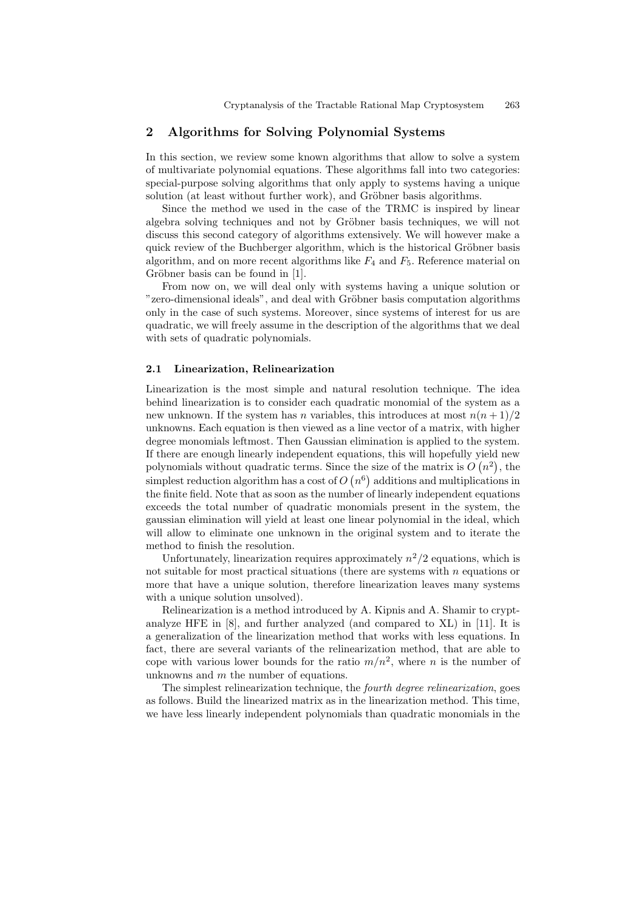# 2 Algorithms for Solving Polynomial Systems

In this section, we review some known algorithms that allow to solve a system of multivariate polynomial equations. These algorithms fall into two categories: special-purpose solving algorithms that only apply to systems having a unique solution (at least without further work), and Gröbner basis algorithms.

Since the method we used in the case of the TRMC is inspired by linear algebra solving techniques and not by Gröbner basis techniques, we will not discuss this second category of algorithms extensively. We will however make a quick review of the Buchberger algorithm, which is the historical Gröbner basis algorithm, and on more recent algorithms like  $F_4$  and  $F_5$ . Reference material on Gröbner basis can be found in  $[1]$ .

From now on, we will deal only with systems having a unique solution or "zero-dimensional ideals", and deal with Gröbner basis computation algorithms only in the case of such systems. Moreover, since systems of interest for us are quadratic, we will freely assume in the description of the algorithms that we deal with sets of quadratic polynomials.

#### 2.1 Linearization, Relinearization

Linearization is the most simple and natural resolution technique. The idea behind linearization is to consider each quadratic monomial of the system as a new unknown. If the system has n variables, this introduces at most  $n(n+1)/2$ unknowns. Each equation is then viewed as a line vector of a matrix, with higher degree monomials leftmost. Then Gaussian elimination is applied to the system. If there are enough linearly independent equations, this will hopefully yield new polynomials without quadratic terms. Since the size of the matrix is  $O(n^2)$ , the simplest reduction algorithm has a cost of  $O(n^6)$  additions and multiplications in the finite field. Note that as soon as the number of linearly independent equations exceeds the total number of quadratic monomials present in the system, the gaussian elimination will yield at least one linear polynomial in the ideal, which will allow to eliminate one unknown in the original system and to iterate the method to finish the resolution.

Unfortunately, linearization requires approximately  $n^2/2$  equations, which is not suitable for most practical situations (there are systems with  $n$  equations or more that have a unique solution, therefore linearization leaves many systems with a unique solution unsolved).

Relinearization is a method introduced by A. Kipnis and A. Shamir to cryptanalyze HFE in [8], and further analyzed (and compared to XL) in [11]. It is a generalization of the linearization method that works with less equations. In fact, there are several variants of the relinearization method, that are able to cope with various lower bounds for the ratio  $m/n^2$ , where n is the number of unknowns and m the number of equations.

The simplest relinearization technique, the fourth degree relinearization, goes as follows. Build the linearized matrix as in the linearization method. This time, we have less linearly independent polynomials than quadratic monomials in the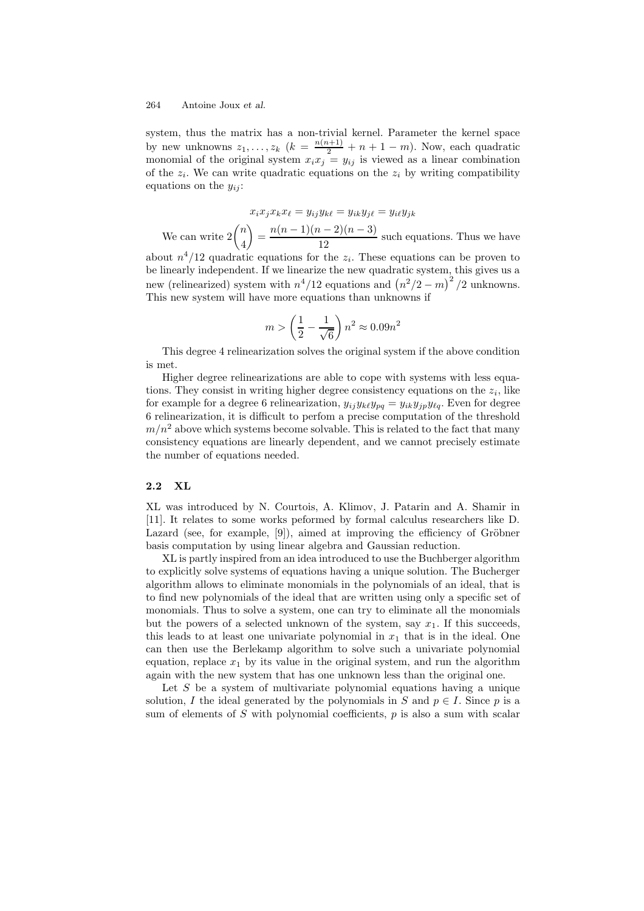system, thus the matrix has a non-trivial kernel. Parameter the kernel space by new unknowns  $z_1, \ldots, z_k$   $(k = \frac{n(n+1)}{2} + n + 1 - m)$ . Now, each quadratic monomial of the original system  $x_i x_j = y_{ij}$  is viewed as a linear combination of the  $z_i$ . We can write quadratic equations on the  $z_i$  by writing compatibility equations on the  $y_{ii}$ :

 $x_i x_j x_k x_\ell = y_{ij} y_{k\ell} = y_{ik} y_{j\ell} = y_{i\ell} y_{jk}$ We can write  $2\binom{n}{4}$ 4  $= \frac{n(n-1)(n-2)(n-3)}{12}$  $\frac{1}{12}$  such equations. Thus we have

about  $n^4/12$  quadratic equations for the  $z_i$ . These equations can be proven to be linearly independent. If we linearize the new quadratic system, this gives us a new (relinearized) system with  $n^4/12$  equations and  $(n^2/2 - m)^2/2$  unknowns. This new system will have more equations than unknowns if

$$
m > \left(\frac{1}{2} - \frac{1}{\sqrt{6}}\right) n^2 \approx 0.09n^2
$$

This degree 4 relinearization solves the original system if the above condition is met.

Higher degree relinearizations are able to cope with systems with less equations. They consist in writing higher degree consistency equations on the  $z_i$ , like for example for a degree 6 relinearization,  $y_{ij}y_{k\ell}y_{pq} = y_{ik}y_{jp}y_{\ell q}$ . Even for degree 6 relinearization, it is difficult to perfom a precise computation of the threshold  $m/n^2$  above which systems become solvable. This is related to the fact that many consistency equations are linearly dependent, and we cannot precisely estimate the number of equations needed.

## 2.2 XL

XL was introduced by N. Courtois, A. Klimov, J. Patarin and A. Shamir in [11]. It relates to some works peformed by formal calculus researchers like D. Lazard (see, for example,  $[9]$ ), aimed at improving the efficiency of Gröbner basis computation by using linear algebra and Gaussian reduction.

XL is partly inspired from an idea introduced to use the Buchberger algorithm to explicitly solve systems of equations having a unique solution. The Bucherger algorithm allows to eliminate monomials in the polynomials of an ideal, that is to find new polynomials of the ideal that are written using only a specific set of monomials. Thus to solve a system, one can try to eliminate all the monomials but the powers of a selected unknown of the system, say  $x_1$ . If this succeeds, this leads to at least one univariate polynomial in  $x_1$  that is in the ideal. One can then use the Berlekamp algorithm to solve such a univariate polynomial equation, replace  $x_1$  by its value in the original system, and run the algorithm again with the new system that has one unknown less than the original one.

Let  $S$  be a system of multivariate polynomial equations having a unique solution, I the ideal generated by the polynomials in S and  $p \in I$ . Since p is a sum of elements of  $S$  with polynomial coefficients,  $p$  is also a sum with scalar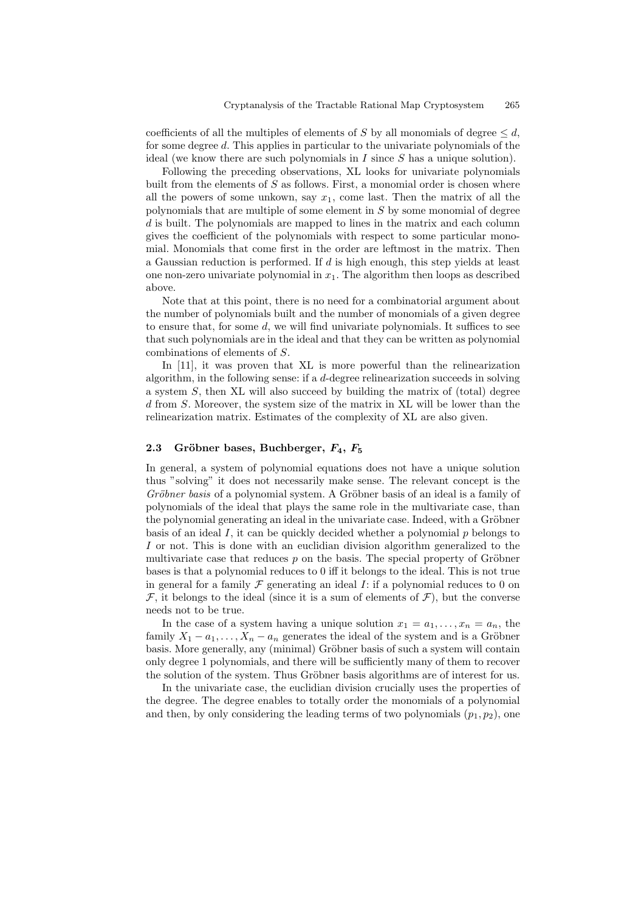coefficients of all the multiples of elements of S by all monomials of degree  $\leq d$ , for some degree d. This applies in particular to the univariate polynomials of the ideal (we know there are such polynomials in  $I$  since  $S$  has a unique solution).

Following the preceding observations, XL looks for univariate polynomials built from the elements of  $S$  as follows. First, a monomial order is chosen where all the powers of some unkown, say  $x_1$ , come last. Then the matrix of all the polynomials that are multiple of some element in S by some monomial of degree d is built. The polynomials are mapped to lines in the matrix and each column gives the coefficient of the polynomials with respect to some particular monomial. Monomials that come first in the order are leftmost in the matrix. Then a Gaussian reduction is performed. If  $d$  is high enough, this step yields at least one non-zero univariate polynomial in  $x_1$ . The algorithm then loops as described above.

Note that at this point, there is no need for a combinatorial argument about the number of polynomials built and the number of monomials of a given degree to ensure that, for some  $d$ , we will find univariate polynomials. It suffices to see that such polynomials are in the ideal and that they can be written as polynomial combinations of elements of S.

In [11], it was proven that XL is more powerful than the relinearization algorithm, in the following sense: if a  $d$ -degree relinearization succeeds in solving a system  $S$ , then XL will also succeed by building the matrix of (total) degree d from S. Moreover, the system size of the matrix in XL will be lower than the relinearization matrix. Estimates of the complexity of XL are also given.

### 2.3 Gröbner bases, Buchberger,  $F_4, F_5$

In general, a system of polynomial equations does not have a unique solution thus "solving" it does not necessarily make sense. The relevant concept is the Gröbner basis of a polynomial system. A Gröbner basis of an ideal is a family of polynomials of the ideal that plays the same role in the multivariate case, than the polynomial generating an ideal in the univariate case. Indeed, with a Gröbner basis of an ideal I, it can be quickly decided whether a polynomial  $p$  belongs to I or not. This is done with an euclidian division algorithm generalized to the multivariate case that reduces  $p$  on the basis. The special property of Gröbner bases is that a polynomial reduces to 0 iff it belongs to the ideal. This is not true in general for a family  $\mathcal F$  generating an ideal I: if a polynomial reduces to 0 on  $\mathcal F$ , it belongs to the ideal (since it is a sum of elements of  $\mathcal F$ ), but the converse needs not to be true.

In the case of a system having a unique solution  $x_1 = a_1, \ldots, x_n = a_n$ , the family  $X_1 - a_1, \ldots, X_n - a_n$  generates the ideal of the system and is a Gröbner basis. More generally, any (minimal) Gröbner basis of such a system will contain only degree 1 polynomials, and there will be sufficiently many of them to recover the solution of the system. Thus Gröbner basis algorithms are of interest for us.

In the univariate case, the euclidian division crucially uses the properties of the degree. The degree enables to totally order the monomials of a polynomial and then, by only considering the leading terms of two polynomials  $(p_1, p_2)$ , one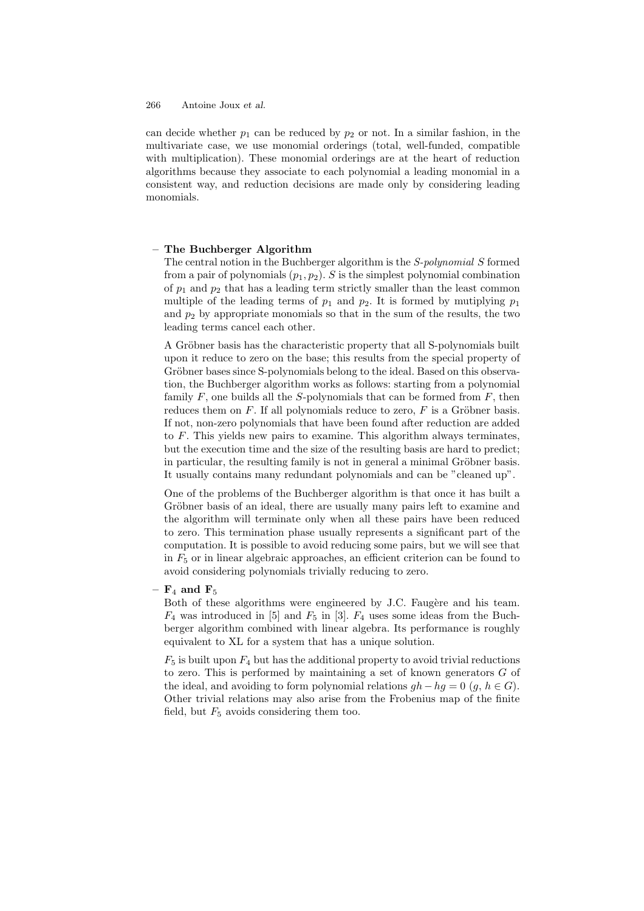can decide whether  $p_1$  can be reduced by  $p_2$  or not. In a similar fashion, in the multivariate case, we use monomial orderings (total, well-funded, compatible with multiplication). These monomial orderings are at the heart of reduction algorithms because they associate to each polynomial a leading monomial in a consistent way, and reduction decisions are made only by considering leading monomials.

#### – The Buchberger Algorithm

The central notion in the Buchberger algorithm is the S-polynomial S formed from a pair of polynomials  $(p_1, p_2)$ . S is the simplest polynomial combination of  $p_1$  and  $p_2$  that has a leading term strictly smaller than the least common multiple of the leading terms of  $p_1$  and  $p_2$ . It is formed by mutiplying  $p_1$ and  $p_2$  by appropriate monomials so that in the sum of the results, the two leading terms cancel each other.

A Gröbner basis has the characteristic property that all S-polynomials built upon it reduce to zero on the base; this results from the special property of Gröbner bases since S-polynomials belong to the ideal. Based on this observation, the Buchberger algorithm works as follows: starting from a polynomial family  $F$ , one builds all the S-polynomials that can be formed from  $F$ , then reduces them on  $F$ . If all polynomials reduce to zero,  $F$  is a Gröbner basis. If not, non-zero polynomials that have been found after reduction are added to F. This yields new pairs to examine. This algorithm always terminates, but the execution time and the size of the resulting basis are hard to predict; in particular, the resulting family is not in general a minimal Gröbner basis. It usually contains many redundant polynomials and can be "cleaned up".

One of the problems of the Buchberger algorithm is that once it has built a Gröbner basis of an ideal, there are usually many pairs left to examine and the algorithm will terminate only when all these pairs have been reduced to zero. This termination phase usually represents a significant part of the computation. It is possible to avoid reducing some pairs, but we will see that in  $F<sub>5</sub>$  or in linear algebraic approaches, an efficient criterion can be found to avoid considering polynomials trivially reducing to zero.

#### –  $\mathbf{F}_4$  and  $\mathbf{F}_5$

Both of these algorithms were engineered by J.C. Faugère and his team.  $F_4$  was introduced in [5] and  $F_5$  in [3].  $F_4$  uses some ideas from the Buchberger algorithm combined with linear algebra. Its performance is roughly equivalent to XL for a system that has a unique solution.

 $F_5$  is built upon  $F_4$  but has the additional property to avoid trivial reductions to zero. This is performed by maintaining a set of known generators G of the ideal, and avoiding to form polynomial relations  $gh - hg = 0$   $(g, h \in G)$ . Other trivial relations may also arise from the Frobenius map of the finite field, but  $F_5$  avoids considering them too.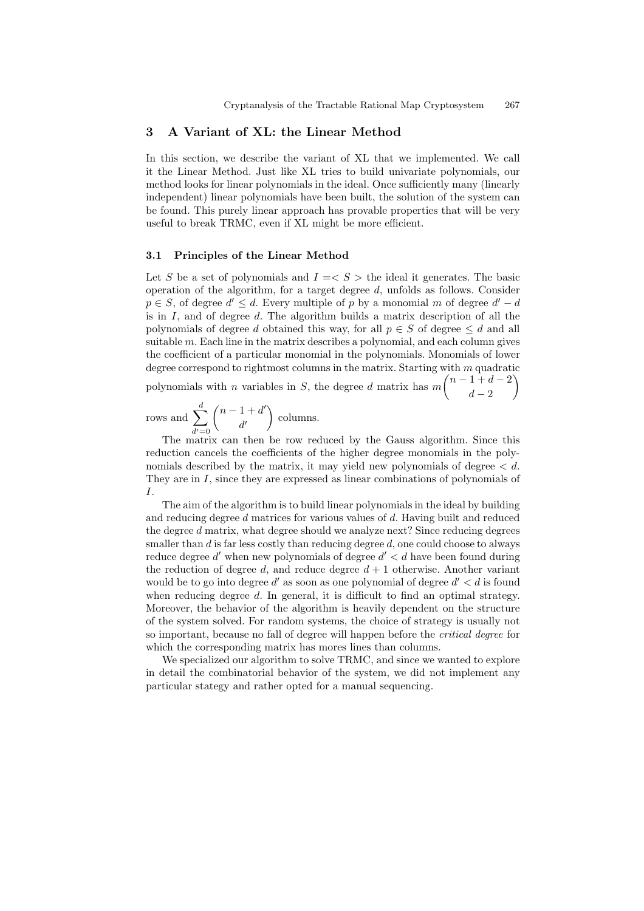## 3 A Variant of XL: the Linear Method

In this section, we describe the variant of XL that we implemented. We call it the Linear Method. Just like XL tries to build univariate polynomials, our method looks for linear polynomials in the ideal. Once sufficiently many (linearly independent) linear polynomials have been built, the solution of the system can be found. This purely linear approach has provable properties that will be very useful to break TRMC, even if XL might be more efficient.

## 3.1 Principles of the Linear Method

Let S be a set of polynomials and  $I = \langle S \rangle$  the ideal it generates. The basic operation of the algorithm, for a target degree d, unfolds as follows. Consider  $p \in S$ , of degree  $d' \leq d$ . Every multiple of p by a monomial m of degree  $d' - d$ is in  $I$ , and of degree  $d$ . The algorithm builds a matrix description of all the polynomials of degree d obtained this way, for all  $p \in S$  of degree  $\leq d$  and all suitable  $m$ . Each line in the matrix describes a polynomial, and each column gives the coefficient of a particular monomial in the polynomials. Monomials of lower degree correspond to rightmost columns in the matrix. Starting with m quadratic  $\setminus$ 

polynomials with *n* variables in *S*, the degree *d* matrix has  $m\binom{n-1+d-2}{1}$  $d-2$ 

rows and  $\sum$ d  $d'=0$  $\int$  n – 1 + d'  $d'$ columns.

The matrix can then be row reduced by the Gauss algorithm. Since this reduction cancels the coefficients of the higher degree monomials in the polynomials described by the matrix, it may yield new polynomials of degree  $\lt d$ . They are in I, since they are expressed as linear combinations of polynomials of I.

The aim of the algorithm is to build linear polynomials in the ideal by building and reducing degree d matrices for various values of d. Having built and reduced the degree d matrix, what degree should we analyze next? Since reducing degrees smaller than  $d$  is far less costly than reducing degree  $d$ , one could choose to always reduce degree  $d'$  when new polynomials of degree  $d' < d$  have been found during the reduction of degree d, and reduce degree  $d+1$  otherwise. Another variant would be to go into degree  $d'$  as soon as one polynomial of degree  $d' < d$  is found when reducing degree  $d$ . In general, it is difficult to find an optimal strategy. Moreover, the behavior of the algorithm is heavily dependent on the structure of the system solved. For random systems, the choice of strategy is usually not so important, because no fall of degree will happen before the *critical degree* for which the corresponding matrix has mores lines than columns.

We specialized our algorithm to solve TRMC, and since we wanted to explore in detail the combinatorial behavior of the system, we did not implement any particular stategy and rather opted for a manual sequencing.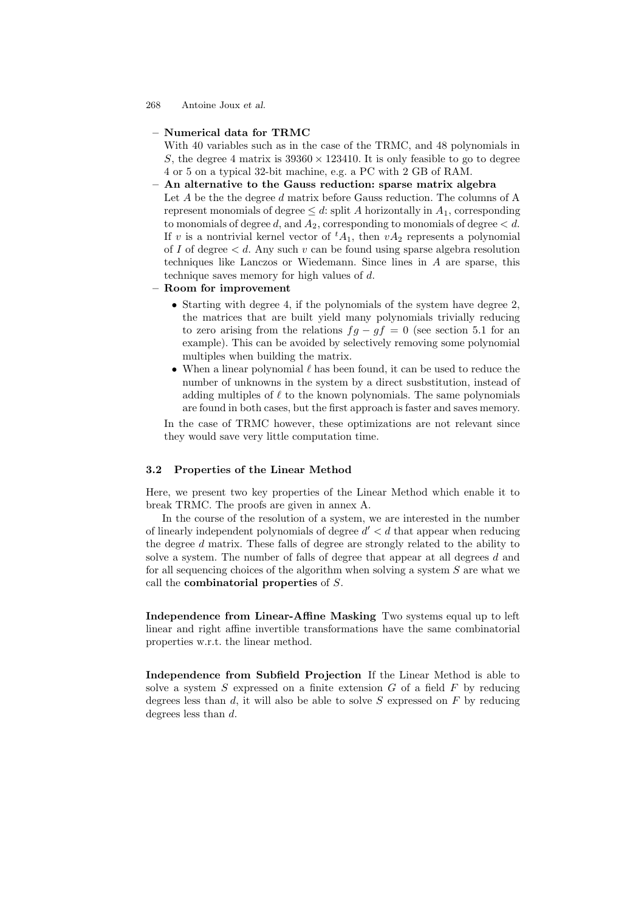#### – Numerical data for TRMC

With 40 variables such as in the case of the TRMC, and 48 polynomials in S, the degree 4 matrix is  $39360 \times 123410$ . It is only feasible to go to degree 4 or 5 on a typical 32-bit machine, e.g. a PC with 2 GB of RAM.

– An alternative to the Gauss reduction: sparse matrix algebra

Let A be the the degree d matrix before Gauss reduction. The columns of A represent monomials of degree  $\leq d$ : split A horizontally in  $A_1$ , corresponding to monomials of degree d, and  $A_2$ , corresponding to monomials of degree  $\lt d$ . If v is a nontrivial kernel vector of  ${}^tA_1$ , then  $vA_2$  represents a polynomial of I of degree  $\lt d$ . Any such v can be found using sparse algebra resolution techniques like Lanczos or Wiedemann. Since lines in A are sparse, this technique saves memory for high values of d.

- Room for improvement
	- Starting with degree 4, if the polynomials of the system have degree 2, the matrices that are built yield many polynomials trivially reducing to zero arising from the relations  $fg - gf = 0$  (see section 5.1 for an example). This can be avoided by selectively removing some polynomial multiples when building the matrix.
	- When a linear polynomial  $\ell$  has been found, it can be used to reduce the number of unknowns in the system by a direct susbstitution, instead of adding multiples of  $\ell$  to the known polynomials. The same polynomials are found in both cases, but the first approach is faster and saves memory.

In the case of TRMC however, these optimizations are not relevant since they would save very little computation time.

#### 3.2 Properties of the Linear Method

Here, we present two key properties of the Linear Method which enable it to break TRMC. The proofs are given in annex A.

In the course of the resolution of a system, we are interested in the number of linearly independent polynomials of degree  $d' < d$  that appear when reducing the degree d matrix. These falls of degree are strongly related to the ability to solve a system. The number of falls of degree that appear at all degrees d and for all sequencing choices of the algorithm when solving a system S are what we call the combinatorial properties of S.

Independence from Linear-Affine Masking Two systems equal up to left linear and right affine invertible transformations have the same combinatorial properties w.r.t. the linear method.

Independence from Subfield Projection If the Linear Method is able to solve a system  $S$  expressed on a finite extension  $G$  of a field  $F$  by reducing degrees less than  $d$ , it will also be able to solve  $S$  expressed on  $F$  by reducing degrees less than d.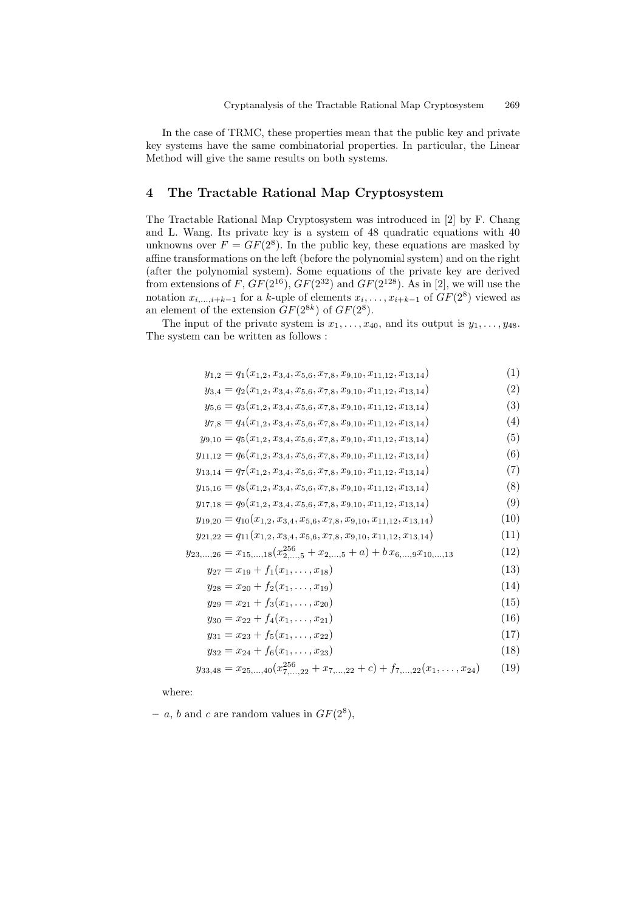In the case of TRMC, these properties mean that the public key and private key systems have the same combinatorial properties. In particular, the Linear Method will give the same results on both systems.

## 4 The Tractable Rational Map Cryptosystem

The Tractable Rational Map Cryptosystem was introduced in [2] by F. Chang and L. Wang. Its private key is a system of 48 quadratic equations with 40 unknowns over  $F = GF(2^8)$ . In the public key, these equations are masked by affine transformations on the left (before the polynomial system) and on the right (after the polynomial system). Some equations of the private key are derived from extensions of F,  $\tilde{GF}(2^{16})$ ,  $GF(2^{32})$  and  $GF(2^{128})$ . As in [2], we will use the notation  $x_{i,\dots,i+k-1}$  for a k-uple of elements  $x_i, \dots, x_{i+k-1}$  of  $GF(2^8)$  viewed as an element of the extension  $GF(2^{8k})$  of  $GF(2^8)$ .

The input of the private system is  $x_1, \ldots, x_{40}$ , and its output is  $y_1, \ldots, y_{48}$ . The system can be written as follows :

$$
y_{1,2} = q_1(x_{1,2}, x_{3,4}, x_{5,6}, x_{7,8}, x_{9,10}, x_{11,12}, x_{13,14})
$$
(1)

$$
y_{3,4} = q_2(x_{1,2}, x_{3,4}, x_{5,6}, x_{7,8}, x_{9,10}, x_{11,12}, x_{13,14})
$$
(2)

$$
y_{5,6} = q_3(x_{1,2}, x_{3,4}, x_{5,6}, x_{7,8}, x_{9,10}, x_{11,12}, x_{13,14})
$$
(3)

$$
y_{7,8} = q_4(x_{1,2}, x_{3,4}, x_{5,6}, x_{7,8}, x_{9,10}, x_{11,12}, x_{13,14})
$$
(4)

$$
y_{9,10} = q_5(x_{1,2}, x_{3,4}, x_{5,6}, x_{7,8}, x_{9,10}, x_{11,12}, x_{13,14})
$$
(5)

$$
y_{11,12} = q_6(x_{1,2}, x_{3,4}, x_{5,6}, x_{7,8}, x_{9,10}, x_{11,12}, x_{13,14})
$$
(6)

$$
y_{13,14} = q_7(x_{1,2}, x_{3,4}, x_{5,6}, x_{7,8}, x_{9,10}, x_{11,12}, x_{13,14})
$$
(7)

$$
y_{15,16} = q_8(x_{1,2}, x_{3,4}, x_{5,6}, x_{7,8}, x_{9,10}, x_{11,12}, x_{13,14})
$$
\n
$$
y_{17,18} = q_9(x_{1,2}, x_{3,4}, x_{5,6}, x_{7,8}, x_{9,10}, x_{11,12}, x_{13,14})
$$
\n(8)

$$
y_{19,20} = q_{10}(x_{1,2}, x_{3,4}, x_{5,6}, x_{7,8}, x_{9,10}, x_{11,12}, x_{13,14})
$$
  
(10)

$$
y_{21,22} = q_{11}(x_{1,2}, x_{3,4}, x_{5,6}, x_{7,8}, x_{9,10}, x_{11,12}, x_{13,14})
$$
(11)

$$
y_{23,\dots,26} = x_{15,\dots,18} (x_{2,\dots,5}^{256} + x_{2,\dots,5} + a) + b x_{6,\dots,9} x_{10,\dots,13}
$$
 (12)

$$
y_{27} = x_{19} + f_1(x_1, \dots, x_{18})
$$
\n(13)

$$
y_{28} = x_{20} + f_2(x_1, \dots, x_{19})
$$
\n(14)

$$
y_{29} = x_{21} + f_3(x_1, \dots, x_{20})
$$
\n<sup>(15)</sup>

$$
y_{30} = x_{22} + f_4(x_1, \dots, x_{21})
$$
\n<sup>(16)</sup>

$$
y_{31} = x_{23} + f_5(x_1, \dots, x_{22}) \tag{17}
$$

$$
y_{32} = x_{24} + f_6(x_1, \dots, x_{23})
$$
\n(18)

$$
y_{33,48} = x_{25,\dots,40}(x_{7,\dots,22}^{256} + x_{7,\dots,22} + c) + f_{7,\dots,22}(x_1,\dots,x_{24})
$$
 (19)

where:

- a, b and c are random values in  $GF(2^8)$ ,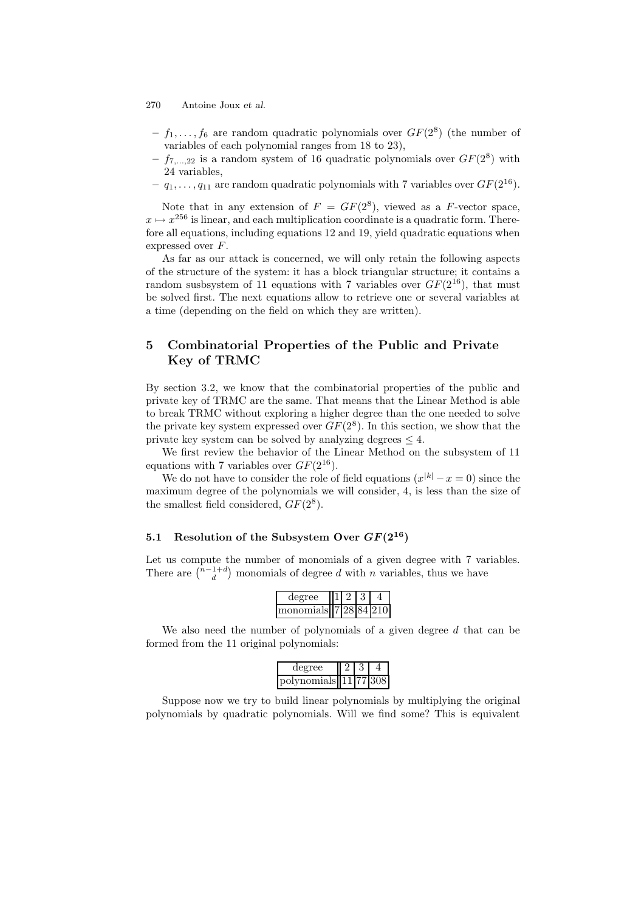- 270 Antoine Joux et al.
	- $-f_1, \ldots, f_6$  are random quadratic polynomials over  $GF(2^8)$  (the number of variables of each polynomial ranges from 18 to 23),
	- $-f_{7,...,22}$  is a random system of 16 quadratic polynomials over  $GF(2^8)$  with 24 variables,
	- $q_1, \ldots, q_{11}$  are random quadratic polynomials with 7 variables over  $GF(2^{16})$ .

Note that in any extension of  $F = GF(2^8)$ , viewed as a F-vector space,  $x \mapsto x^{256}$  is linear, and each multiplication coordinate is a quadratic form. Therefore all equations, including equations 12 and 19, yield quadratic equations when expressed over F.

As far as our attack is concerned, we will only retain the following aspects of the structure of the system: it has a block triangular structure; it contains a random susbsystem of 11 equations with 7 variables over  $GF(2^{16})$ , that must be solved first. The next equations allow to retrieve one or several variables at a time (depending on the field on which they are written).

# 5 Combinatorial Properties of the Public and Private Key of TRMC

By section 3.2, we know that the combinatorial properties of the public and private key of TRMC are the same. That means that the Linear Method is able to break TRMC without exploring a higher degree than the one needed to solve the private key system expressed over  $GF(2^8)$ . In this section, we show that the private key system can be solved by analyzing degrees  $\leq 4$ .

We first review the behavior of the Linear Method on the subsystem of 11 equations with 7 variables over  $GF(2^{16})$ .

We do not have to consider the role of field equations  $(x^{|k|} - x = 0)$  since the maximum degree of the polynomials we will consider, 4, is less than the size of the smallest field considered,  $GF(2^8)$ .

## 5.1 Resolution of the Subsystem Over  $GF(2^{16})$

Let us compute the number of monomials of a given degree with 7 variables. There are  $\binom{n-1+d}{d}$  monomials of degree d with n variables, thus we have

| oree                   |  |  |  |
|------------------------|--|--|--|
| monomials  7 28 84 210 |  |  |  |

We also need the number of polynomials of a given degree  $d$  that can be formed from the 11 original polynomials:

| Iynomials  11  77  5 |  |  |
|----------------------|--|--|

Suppose now we try to build linear polynomials by multiplying the original polynomials by quadratic polynomials. Will we find some? This is equivalent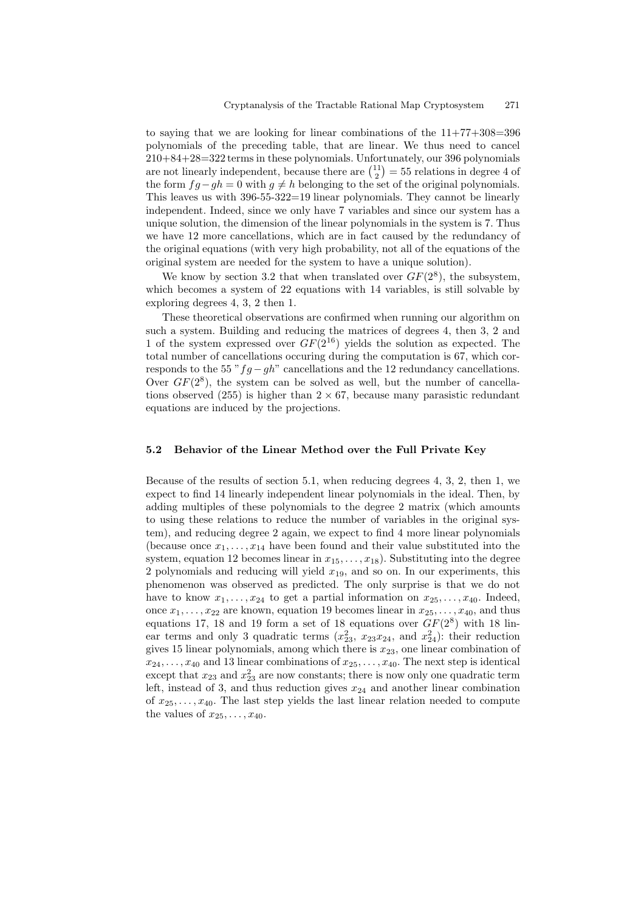to saying that we are looking for linear combinations of the  $11+77+308=396$ polynomials of the preceding table, that are linear. We thus need to cancel 210+84+28=322 terms in these polynomials. Unfortunately, our 396 polynomials are not linearly independent, because there are  $\binom{11}{2} = 55$  relations in degree 4 of the form  $fg-gh = 0$  with  $g \neq h$  belonging to the set of the original polynomials. This leaves us with 396-55-322=19 linear polynomials. They cannot be linearly independent. Indeed, since we only have 7 variables and since our system has a unique solution, the dimension of the linear polynomials in the system is 7. Thus we have 12 more cancellations, which are in fact caused by the redundancy of the original equations (with very high probability, not all of the equations of the original system are needed for the system to have a unique solution).

We know by section 3.2 that when translated over  $GF(2^8)$ , the subsystem, which becomes a system of 22 equations with 14 variables, is still solvable by exploring degrees 4, 3, 2 then 1.

These theoretical observations are confirmed when running our algorithm on such a system. Building and reducing the matrices of degrees 4, then 3, 2 and 1 of the system expressed over  $GF(2^{16})$  yields the solution as expected. The total number of cancellations occuring during the computation is 67, which corresponds to the 55 " $fg - gh$ " cancellations and the 12 redundancy cancellations. Over  $GF(2^8)$ , the system can be solved as well, but the number of cancellations observed (255) is higher than  $2 \times 67$ , because many parasistic redundant equations are induced by the projections.

#### 5.2 Behavior of the Linear Method over the Full Private Key

Because of the results of section 5.1, when reducing degrees 4, 3, 2, then 1, we expect to find 14 linearly independent linear polynomials in the ideal. Then, by adding multiples of these polynomials to the degree 2 matrix (which amounts to using these relations to reduce the number of variables in the original system), and reducing degree 2 again, we expect to find 4 more linear polynomials (because once  $x_1, \ldots, x_{14}$  have been found and their value substituted into the system, equation 12 becomes linear in  $x_{15}, \ldots, x_{18}$ ). Substituting into the degree 2 polynomials and reducing will yield  $x_{19}$ , and so on. In our experiments, this phenomenon was observed as predicted. The only surprise is that we do not have to know  $x_1, \ldots, x_{24}$  to get a partial information on  $x_{25}, \ldots, x_{40}$ . Indeed, once  $x_1, \ldots, x_{22}$  are known, equation 19 becomes linear in  $x_{25}, \ldots, x_{40}$ , and thus equations 17, 18 and 19 form a set of 18 equations over  $GF(2^8)$  with 18 linear terms and only 3 quadratic terms  $(x_{23}^2, x_{23}x_{24}, x_{23}x_{24})$ : their reduction gives 15 linear polynomials, among which there is  $x_{23}$ , one linear combination of  $x_{24}, \ldots, x_{40}$  and 13 linear combinations of  $x_{25}, \ldots, x_{40}$ . The next step is identical except that  $x_{23}$  and  $x_{23}^2$  are now constants; there is now only one quadratic term left, instead of 3, and thus reduction gives  $x_{24}$  and another linear combination of  $x_{25}, \ldots, x_{40}$ . The last step yields the last linear relation needed to compute the values of  $x_{25}, \ldots, x_{40}$ .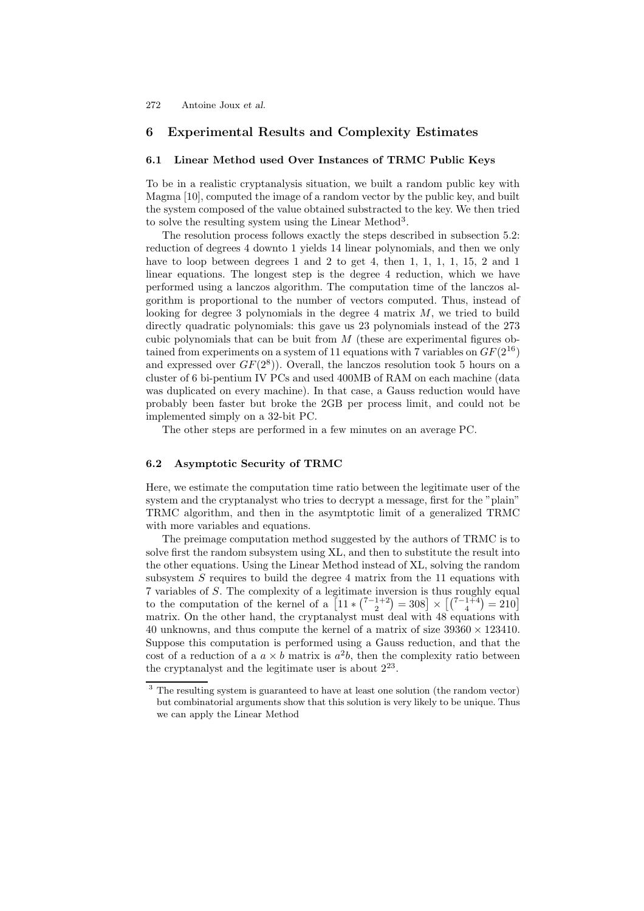# 6 Experimental Results and Complexity Estimates

#### 6.1 Linear Method used Over Instances of TRMC Public Keys

To be in a realistic cryptanalysis situation, we built a random public key with Magma [10], computed the image of a random vector by the public key, and built the system composed of the value obtained substracted to the key. We then tried to solve the resulting system using the Linear Method<sup>3</sup>.

The resolution process follows exactly the steps described in subsection 5.2: reduction of degrees 4 downto 1 yields 14 linear polynomials, and then we only have to loop between degrees 1 and 2 to get 4, then 1, 1, 1, 1, 15, 2 and 1 linear equations. The longest step is the degree 4 reduction, which we have performed using a lanczos algorithm. The computation time of the lanczos algorithm is proportional to the number of vectors computed. Thus, instead of looking for degree 3 polynomials in the degree  $4$  matrix  $M$ , we tried to build directly quadratic polynomials: this gave us 23 polynomials instead of the 273 cubic polynomials that can be buit from  $M$  (these are experimental figures obtained from experiments on a system of 11 equations with 7 variables on  $GF(2^{16})$ and expressed over  $GF(2^8)$ ). Overall, the lanczos resolution took 5 hours on a cluster of 6 bi-pentium IV PCs and used 400MB of RAM on each machine (data was duplicated on every machine). In that case, a Gauss reduction would have probably been faster but broke the 2GB per process limit, and could not be implemented simply on a 32-bit PC.

The other steps are performed in a few minutes on an average PC.

#### 6.2 Asymptotic Security of TRMC

Here, we estimate the computation time ratio between the legitimate user of the system and the cryptanalyst who tries to decrypt a message, first for the "plain" TRMC algorithm, and then in the asymtptotic limit of a generalized TRMC with more variables and equations.

The preimage computation method suggested by the authors of TRMC is to solve first the random subsystem using XL, and then to substitute the result into the other equations. Using the Linear Method instead of XL, solving the random subsystem  $S$  requires to build the degree 4 matrix from the 11 equations with 7 variables of S. The complexity of a legitimate inversion is thus roughly equal to the computation of the kernel of a  $[11 * (7^{-1+2}) = 308] \times [7^{-1+4}) = 210]$ matrix. On the other hand, the cryptanalyst must deal with 48 equations with 40 unknowns, and thus compute the kernel of a matrix of size  $39360 \times 123410$ . Suppose this computation is performed using a Gauss reduction, and that the cost of a reduction of a  $a \times b$  matrix is  $a^2b$ , then the complexity ratio between the cryptanalyst and the legitimate user is about  $2^{23}$ .

<sup>&</sup>lt;sup>3</sup> The resulting system is guaranteed to have at least one solution (the random vector) but combinatorial arguments show that this solution is very likely to be unique. Thus we can apply the Linear Method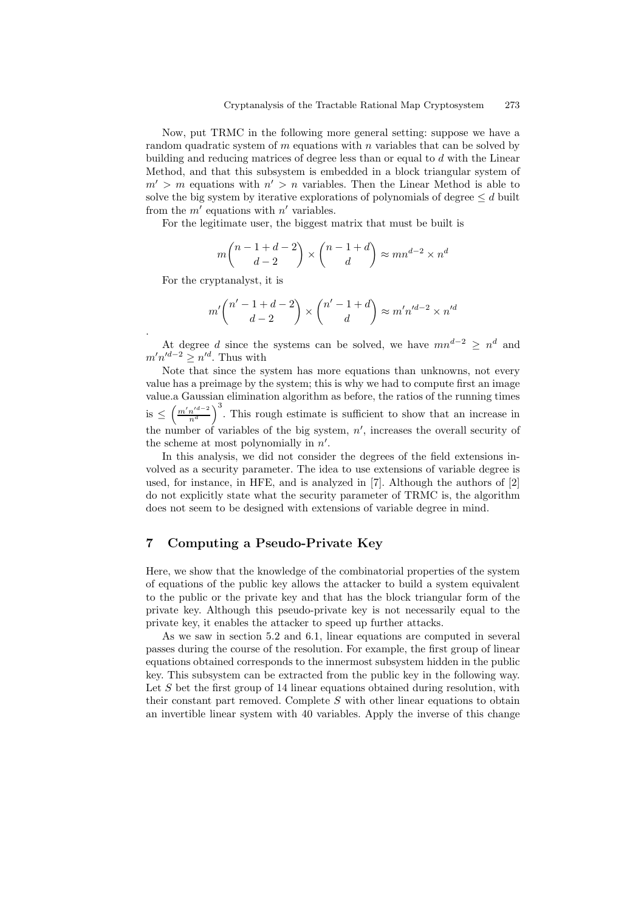Now, put TRMC in the following more general setting: suppose we have a random quadratic system of m equations with n variables that can be solved by building and reducing matrices of degree less than or equal to d with the Linear Method, and that this subsystem is embedded in a block triangular system of  $m' > m$  equations with  $n' > n$  variables. Then the Linear Method is able to solve the big system by iterative explorations of polynomials of degree  $\leq d$  built from the  $m'$  equations with  $n'$  variables.

For the legitimate user, the biggest matrix that must be built is

$$
m{n-1+d-2 \choose d-2} \times {n-1+d \choose d} \approx mn^{d-2} \times n^d
$$

For the cryptanalyst, it is

.

$$
m'\binom{n'-1+d-2}{d-2} \times \binom{n'-1+d}{d} \approx m'n'^{d-2} \times n'^{d}
$$

At degree d since the systems can be solved, we have  $mn^{d-2} \geq n^d$  and  $m'n'^{d-2} \geq n'^{d}$ . Thus with

Note that since the system has more equations than unknowns, not every value has a preimage by the system; this is why we had to compute first an image value.a Gaussian elimination algorithm as before, the ratios of the running times is  $\leq \left(\frac{m'n'^{d-2}}{n^d}\right)$  $\left(n\frac{n^{d-2}}{n^d}\right)^3$ . This rough estimate is sufficient to show that an increase in the number of variables of the big system,  $n'$ , increases the overall security of the scheme at most polynomially in  $n'$ .

In this analysis, we did not consider the degrees of the field extensions involved as a security parameter. The idea to use extensions of variable degree is used, for instance, in HFE, and is analyzed in [7]. Although the authors of [2] do not explicitly state what the security parameter of TRMC is, the algorithm does not seem to be designed with extensions of variable degree in mind.

# 7 Computing a Pseudo-Private Key

Here, we show that the knowledge of the combinatorial properties of the system of equations of the public key allows the attacker to build a system equivalent to the public or the private key and that has the block triangular form of the private key. Although this pseudo-private key is not necessarily equal to the private key, it enables the attacker to speed up further attacks.

As we saw in section 5.2 and 6.1, linear equations are computed in several passes during the course of the resolution. For example, the first group of linear equations obtained corresponds to the innermost subsystem hidden in the public key. This subsystem can be extracted from the public key in the following way. Let S bet the first group of 14 linear equations obtained during resolution, with their constant part removed. Complete  $S$  with other linear equations to obtain an invertible linear system with 40 variables. Apply the inverse of this change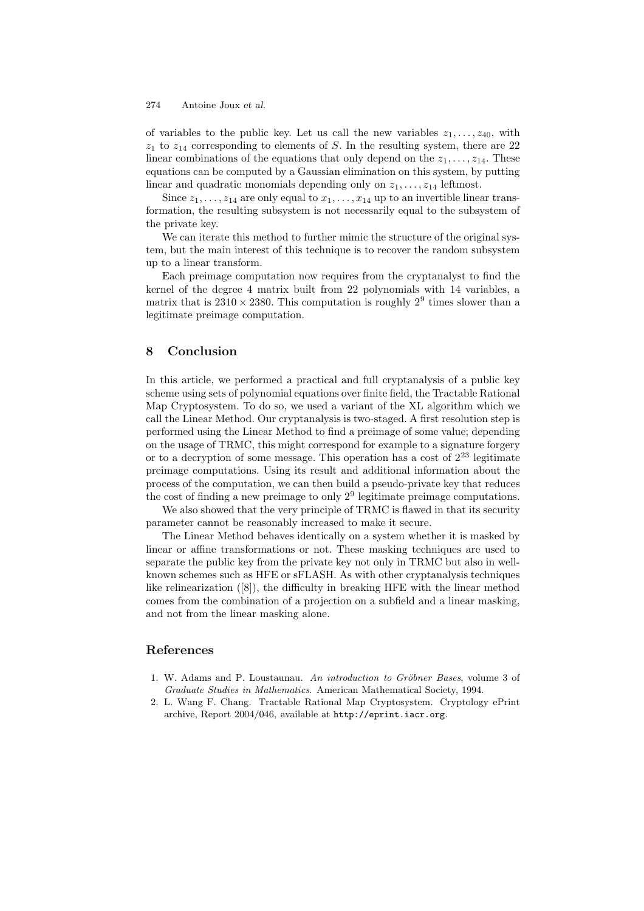of variables to the public key. Let us call the new variables  $z_1, \ldots, z_{40}$ , with  $z_1$  to  $z_{14}$  corresponding to elements of S. In the resulting system, there are 22 linear combinations of the equations that only depend on the  $z_1, \ldots, z_{14}$ . These equations can be computed by a Gaussian elimination on this system, by putting linear and quadratic monomials depending only on  $z_1, \ldots, z_{14}$  leftmost.

Since  $z_1, \ldots, z_{14}$  are only equal to  $x_1, \ldots, x_{14}$  up to an invertible linear transformation, the resulting subsystem is not necessarily equal to the subsystem of the private key.

We can iterate this method to further mimic the structure of the original system, but the main interest of this technique is to recover the random subsystem up to a linear transform.

Each preimage computation now requires from the cryptanalyst to find the kernel of the degree 4 matrix built from 22 polynomials with 14 variables, a matrix that is  $2310 \times 2380$ . This computation is roughly  $2^9$  times slower than a legitimate preimage computation.

# 8 Conclusion

In this article, we performed a practical and full cryptanalysis of a public key scheme using sets of polynomial equations over finite field, the Tractable Rational Map Cryptosystem. To do so, we used a variant of the XL algorithm which we call the Linear Method. Our cryptanalysis is two-staged. A first resolution step is performed using the Linear Method to find a preimage of some value; depending on the usage of TRMC, this might correspond for example to a signature forgery or to a decryption of some message. This operation has a cost of 2 <sup>23</sup> legitimate preimage computations. Using its result and additional information about the process of the computation, we can then build a pseudo-private key that reduces the cost of finding a new preimage to only  $2^9$  legitimate preimage computations.

We also showed that the very principle of TRMC is flawed in that its security parameter cannot be reasonably increased to make it secure.

The Linear Method behaves identically on a system whether it is masked by linear or affine transformations or not. These masking techniques are used to separate the public key from the private key not only in TRMC but also in wellknown schemes such as HFE or sFLASH. As with other cryptanalysis techniques like relinearization ([8]), the difficulty in breaking HFE with the linear method comes from the combination of a projection on a subfield and a linear masking, and not from the linear masking alone.

#### References

- 1. W. Adams and P. Loustaunau. An introduction to Gröbner Bases, volume 3 of Graduate Studies in Mathematics. American Mathematical Society, 1994.
- 2. L. Wang F. Chang. Tractable Rational Map Cryptosystem. Cryptology ePrint archive, Report 2004/046, available at http://eprint.iacr.org.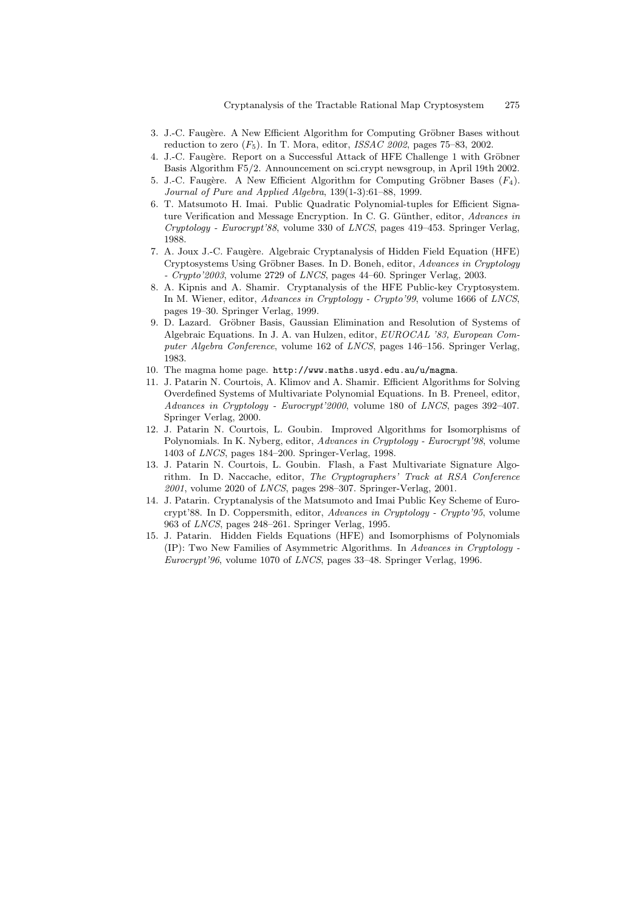- 3. J.-C. Faugère. A New Efficient Algorithm for Computing Gröbner Bases without reduction to zero  $(F_5)$ . In T. Mora, editor, *ISSAC 2002*, pages 75–83, 2002.
- 4. J.-C. Faugère. Report on a Successful Attack of HFE Challenge 1 with Gröbner Basis Algorithm F5/2. Announcement on sci.crypt newsgroup, in April 19th 2002.
- 5. J.-C. Faugère. A New Efficient Algorithm for Computing Gröbner Bases  $(F_4)$ . Journal of Pure and Applied Algebra, 139(1-3):61–88, 1999.
- 6. T. Matsumoto H. Imai. Public Quadratic Polynomial-tuples for Efficient Signature Verification and Message Encryption. In C. G. Günther, editor, Advances in Cryptology - Eurocrypt'88, volume 330 of LNCS, pages 419–453. Springer Verlag, 1988.
- 7. A. Joux J.-C. Faugère. Algebraic Cryptanalysis of Hidden Field Equation (HFE) Cryptosystems Using Gröbner Bases. In D. Boneh, editor, Advances in Cryptology - Crypto'2003, volume 2729 of LNCS, pages 44–60. Springer Verlag, 2003.
- 8. A. Kipnis and A. Shamir. Cryptanalysis of the HFE Public-key Cryptosystem. In M. Wiener, editor, Advances in Cryptology - Crypto'99, volume 1666 of LNCS, pages 19–30. Springer Verlag, 1999.
- 9. D. Lazard. Gröbner Basis, Gaussian Elimination and Resolution of Systems of Algebraic Equations. In J. A. van Hulzen, editor, EUROCAL '83, European Computer Algebra Conference, volume 162 of LNCS, pages 146–156. Springer Verlag, 1983.
- 10. The magma home page. http://www.maths.usyd.edu.au/u/magma.
- 11. J. Patarin N. Courtois, A. Klimov and A. Shamir. Efficient Algorithms for Solving Overdefined Systems of Multivariate Polynomial Equations. In B. Preneel, editor, Advances in Cryptology - Eurocrypt'2000, volume 180 of LNCS, pages 392–407. Springer Verlag, 2000.
- 12. J. Patarin N. Courtois, L. Goubin. Improved Algorithms for Isomorphisms of Polynomials. In K. Nyberg, editor, Advances in Cryptology - Eurocrypt'98, volume 1403 of LNCS, pages 184–200. Springer-Verlag, 1998.
- 13. J. Patarin N. Courtois, L. Goubin. Flash, a Fast Multivariate Signature Algorithm. In D. Naccache, editor, The Cryptographers' Track at RSA Conference  $2001$ , volume 2020 of *LNCS*, pages 298–307. Springer-Verlag, 2001.
- 14. J. Patarin. Cryptanalysis of the Matsumoto and Imai Public Key Scheme of Eurocrypt'88. In D. Coppersmith, editor, Advances in Cryptology - Crypto'95, volume 963 of LNCS, pages 248–261. Springer Verlag, 1995.
- 15. J. Patarin. Hidden Fields Equations (HFE) and Isomorphisms of Polynomials (IP): Two New Families of Asymmetric Algorithms. In Advances in Cryptology - Eurocrypt'96, volume 1070 of LNCS, pages 33–48. Springer Verlag, 1996.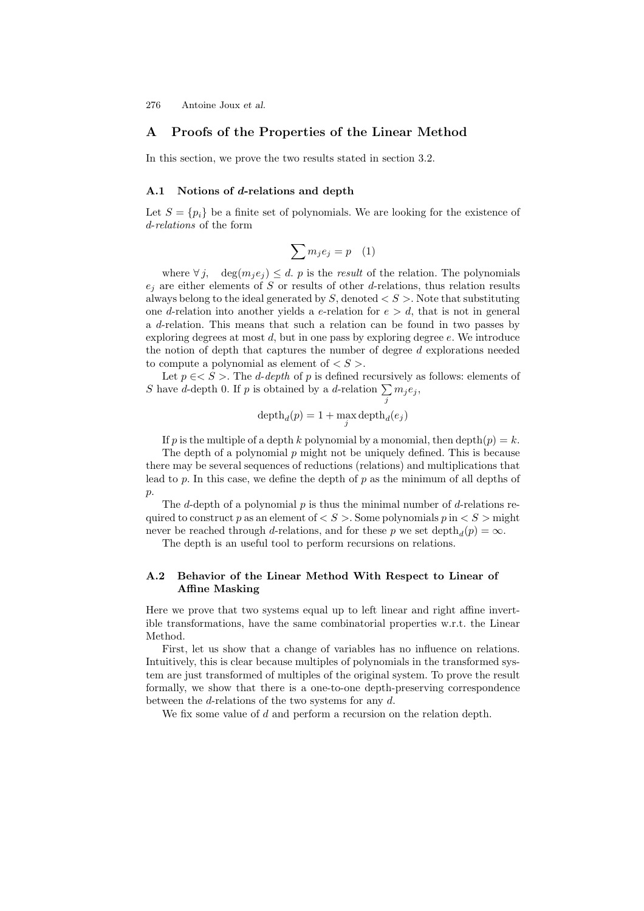# A Proofs of the Properties of the Linear Method

In this section, we prove the two results stated in section 3.2.

#### A.1 Notions of d-relations and depth

Let  $S = \{p_i\}$  be a finite set of polynomials. We are looking for the existence of d-relations of the form

$$
\sum m_j e_j = p \quad (1)
$$

where  $\forall j$ , deg $(m_j e_j) \leq d$ . p is the result of the relation. The polynomials  $e_i$  are either elements of S or results of other d-relations, thus relation results always belong to the ideal generated by  $S$ , denoted  $S >$ . Note that substituting one d-relation into another yields a e-relation for  $e > d$ , that is not in general a d-relation. This means that such a relation can be found in two passes by exploring degrees at most  $d$ , but in one pass by exploring degree  $e$ . We introduce the notion of depth that captures the number of degree  $d$  explorations needed to compute a polynomial as element of  $\langle S \rangle$ .

Let  $p \in S$ . The *d-depth* of p is defined recursively as follows: elements of S have d-depth 0. If p is obtained by a d-relation  $\sum_j m_j e_j$ ,

$$
\mathrm{depth}_d(p) = 1 + \max_j \mathrm{depth}_d(e_j)
$$

If p is the multiple of a depth k polynomial by a monomial, then depth $(p) = k$ .

The depth of a polynomial  $p$  might not be uniquely defined. This is because there may be several sequences of reductions (relations) and multiplications that lead to  $p$ . In this case, we define the depth of  $p$  as the minimum of all depths of p.

The d-depth of a polynomial  $p$  is thus the minimal number of d-relations required to construct p as an element of  $\lt S$ . Some polynomials p in  $\lt S$   $>$  might never be reached through d-relations, and for these p we set  $\text{depth}_d(p) = \infty$ .

The depth is an useful tool to perform recursions on relations.

## A.2 Behavior of the Linear Method With Respect to Linear of Affine Masking

Here we prove that two systems equal up to left linear and right affine invertible transformations, have the same combinatorial properties w.r.t. the Linear Method.

First, let us show that a change of variables has no influence on relations. Intuitively, this is clear because multiples of polynomials in the transformed system are just transformed of multiples of the original system. To prove the result formally, we show that there is a one-to-one depth-preserving correspondence between the d-relations of the two systems for any  $d$ .

We fix some value of d and perform a recursion on the relation depth.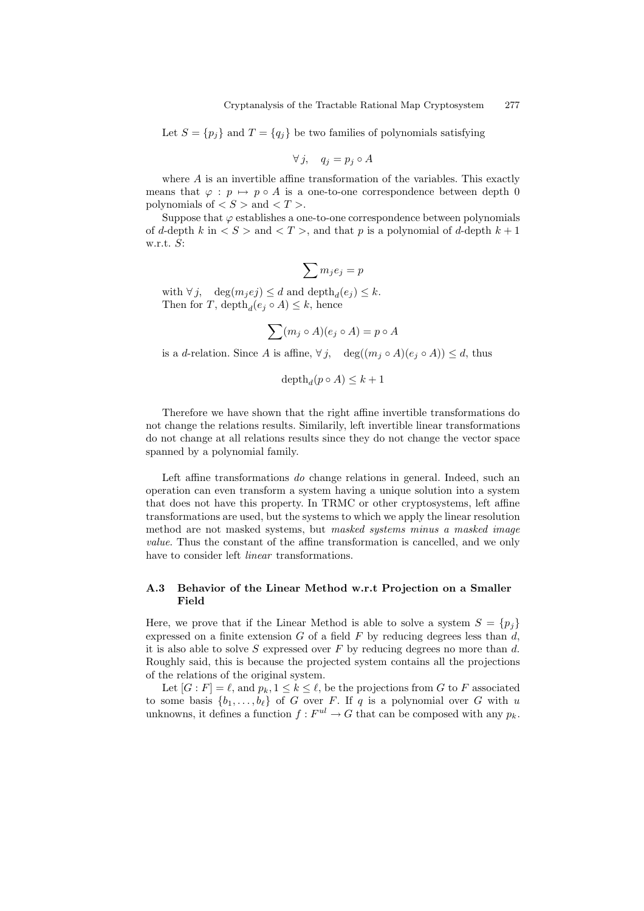Let  $S = \{p_j\}$  and  $T = \{q_j\}$  be two families of polynomials satisfying

$$
\forall\,j,\quad q_j=p_j\circ A
$$

where A is an invertible affine transformation of the variables. This exactly means that  $\varphi : p \mapsto p \circ A$  is a one-to-one correspondence between depth 0 polynomials of  $\langle S \rangle$  and  $\langle T \rangle$ .

Suppose that  $\varphi$  establishes a one-to-one correspondence between polynomials of d-depth k in  $\langle S \rangle$  and  $\langle T \rangle$ , and that p is a polynomial of d-depth  $k+1$ w.r.t. S:

$$
\sum m_j e_j = p
$$

with  $\forall j$ ,  $deg(m_j e_j) \leq d$  and  $depth_d(e_j) \leq k$ . Then for T,  $\text{depth}_d(e_j \circ A) \leq k$ , hence

$$
\sum (m_j \circ A)(e_j \circ A) = p \circ A
$$

is a d-relation. Since A is affine,  $\forall j$ ,  $\deg((m_j \circ A)(e_j \circ A)) \leq d$ , thus

$$
\mathrm{depth}_d(p \circ A) \leq k+1
$$

Therefore we have shown that the right affine invertible transformations do not change the relations results. Similarily, left invertible linear transformations do not change at all relations results since they do not change the vector space spanned by a polynomial family.

Left affine transformations do change relations in general. Indeed, such an operation can even transform a system having a unique solution into a system that does not have this property. In TRMC or other cryptosystems, left affine transformations are used, but the systems to which we apply the linear resolution method are not masked systems, but masked systems minus a masked image value. Thus the constant of the affine transformation is cancelled, and we only have to consider left *linear* transformations.

## A.3 Behavior of the Linear Method w.r.t Projection on a Smaller Field

Here, we prove that if the Linear Method is able to solve a system  $S = \{p_i\}$ expressed on a finite extension  $G$  of a field  $F$  by reducing degrees less than  $d$ , it is also able to solve S expressed over  $F$  by reducing degrees no more than  $d$ . Roughly said, this is because the projected system contains all the projections of the relations of the original system.

Let  $[G : F] = \ell$ , and  $p_k, 1 \leq k \leq \ell$ , be the projections from G to F associated to some basis  $\{b_1, \ldots, b_\ell\}$  of G over F. If q is a polynomial over G with u unknowns, it defines a function  $f: F^{ul} \to G$  that can be composed with any  $p_k$ .